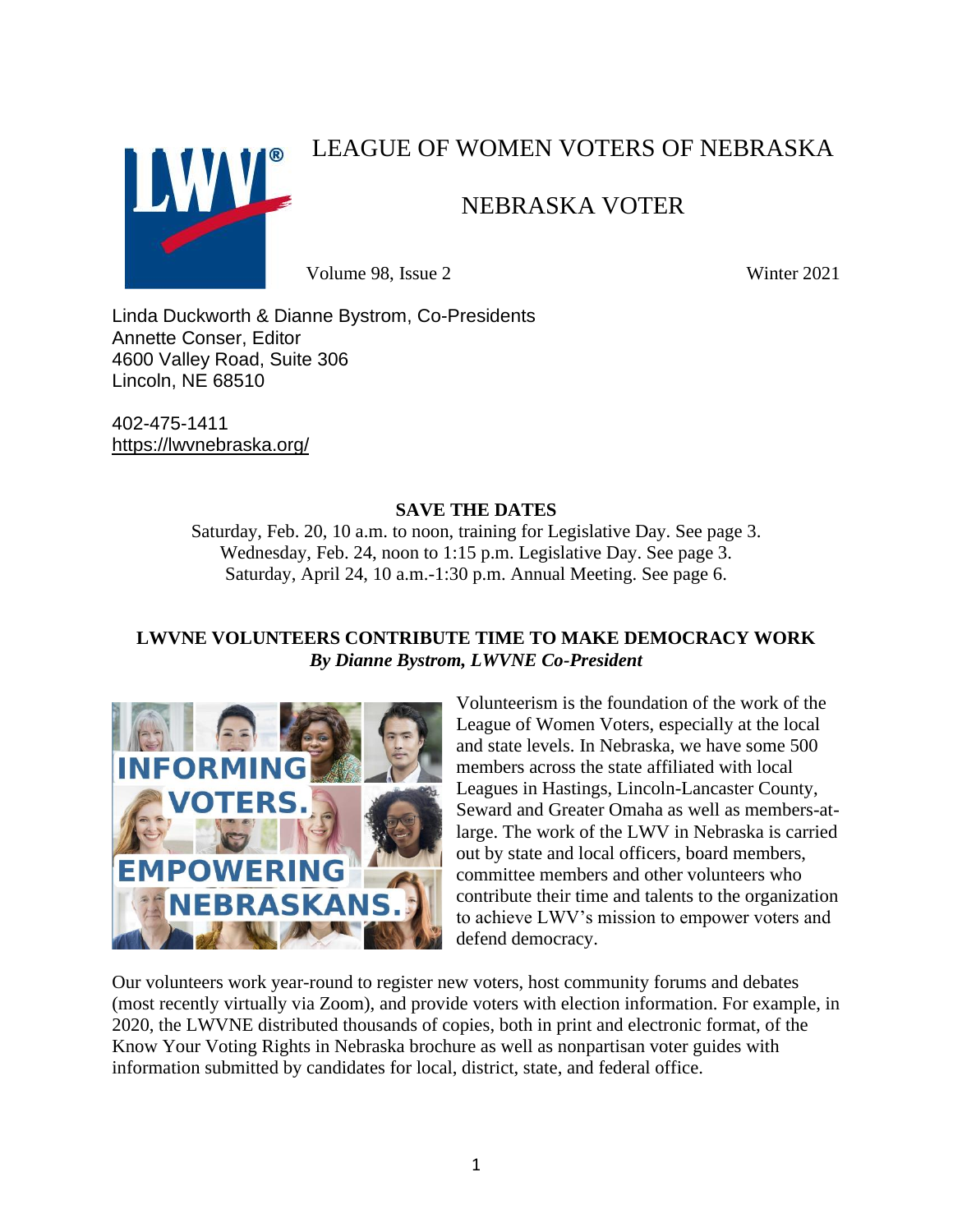

# LEAGUE OF WOMEN VOTERS OF NEBRASKA

# NEBRASKA VOTER

Volume 98, Issue 2 Winter 2021

Linda Duckworth & Dianne Bystrom, Co-Presidents Annette Conser, Editor 4600 Valley Road, Suite 306 Lincoln, NE 68510

402-475-1411 <https://lwvnebraska.org/>

## **SAVE THE DATES**

Saturday, Feb. 20, 10 a.m. to noon, training for Legislative Day. See page 3. Wednesday, Feb. 24, noon to 1:15 p.m. Legislative Day. See page 3. Saturday, April 24, 10 a.m.-1:30 p.m. Annual Meeting. See page 6.

# **LWVNE VOLUNTEERS CONTRIBUTE TIME TO MAKE DEMOCRACY WORK** *By Dianne Bystrom, LWVNE Co-President*



Volunteerism is the foundation of the work of the League of Women Voters, especially at the local and state levels. In Nebraska, we have some 500 members across the state affiliated with local Leagues in Hastings, Lincoln-Lancaster County, Seward and Greater Omaha as well as members-atlarge. The work of the LWV in Nebraska is carried out by state and local officers, board members, committee members and other volunteers who contribute their time and talents to the organization to achieve LWV's mission to empower voters and defend democracy.

Our volunteers work year-round to register new voters, host community forums and debates (most recently virtually via Zoom), and provide voters with election information. For example, in 2020, the LWVNE distributed thousands of copies, both in print and electronic format, of the Know Your Voting Rights in Nebraska brochure as well as nonpartisan voter guides with information submitted by candidates for local, district, state, and federal office.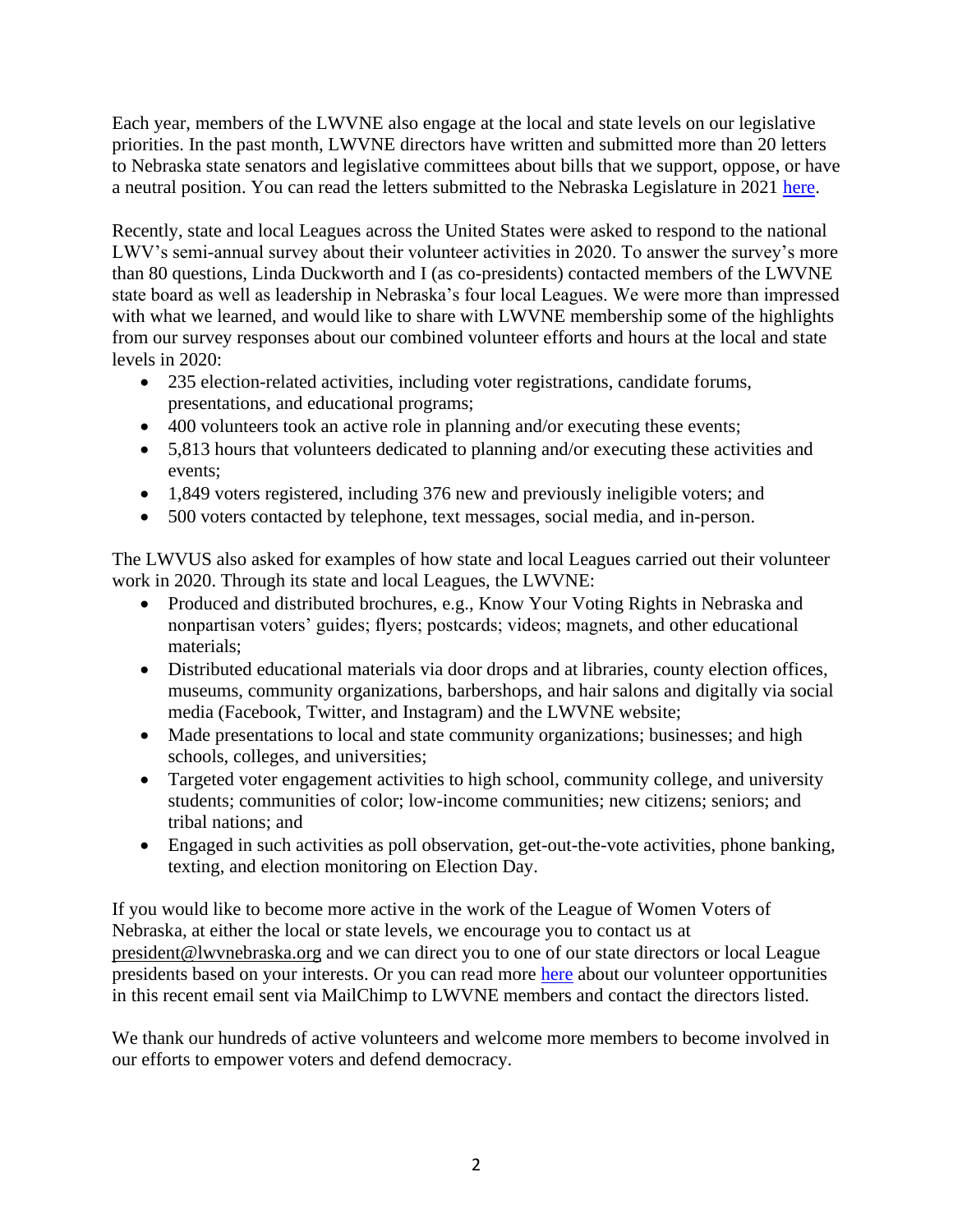Each year, members of the LWVNE also engage at the local and state levels on our legislative priorities. In the past month, LWVNE directors have written and submitted more than 20 letters to Nebraska state senators and legislative committees about bills that we support, oppose, or have a neutral position. You can read the letters submitted to the Nebraska Legislature in 2021 [here.](https://lwvnebraska.org/letters-to-committees-and-officials-2021/)

Recently, state and local Leagues across the United States were asked to respond to the national LWV's semi-annual survey about their volunteer activities in 2020. To answer the survey's more than 80 questions, Linda Duckworth and I (as co-presidents) contacted members of the LWVNE state board as well as leadership in Nebraska's four local Leagues. We were more than impressed with what we learned, and would like to share with LWVNE membership some of the highlights from our survey responses about our combined volunteer efforts and hours at the local and state levels in 2020:

- 235 election-related activities, including voter registrations, candidate forums, presentations, and educational programs;
- 400 volunteers took an active role in planning and/or executing these events;
- 5,813 hours that volunteers dedicated to planning and/or executing these activities and events;
- 1,849 voters registered, including 376 new and previously ineligible voters; and
- 500 voters contacted by telephone, text messages, social media, and in-person.

The LWVUS also asked for examples of how state and local Leagues carried out their volunteer work in 2020. Through its state and local Leagues, the LWVNE:

- Produced and distributed brochures, e.g., Know Your Voting Rights in Nebraska and nonpartisan voters' guides; flyers; postcards; videos; magnets, and other educational materials;
- Distributed educational materials via door drops and at libraries, county election offices, museums, community organizations, barbershops, and hair salons and digitally via social media (Facebook, Twitter, and Instagram) and the LWVNE website;
- Made presentations to local and state community organizations; businesses; and high schools, colleges, and universities;
- Targeted voter engagement activities to high school, community college, and university students; communities of color; low-income communities; new citizens; seniors; and tribal nations; and
- Engaged in such activities as poll observation, get-out-the-vote activities, phone banking, texting, and election monitoring on Election Day.

If you would like to become more active in the work of the League of Women Voters of Nebraska, at either the local or state levels, we encourage you to contact us at president@lwvnebraska.org and we can direct you to one of our state directors or local League presidents based on your interests. Or you can read more [here](https://mailchi.mp/870750c36e99/volunteer-for-opportunities-with-lwvne) about our volunteer opportunities in this recent email sent via MailChimp to LWVNE members and contact the directors listed.

We thank our hundreds of active volunteers and welcome more members to become involved in our efforts to empower voters and defend democracy.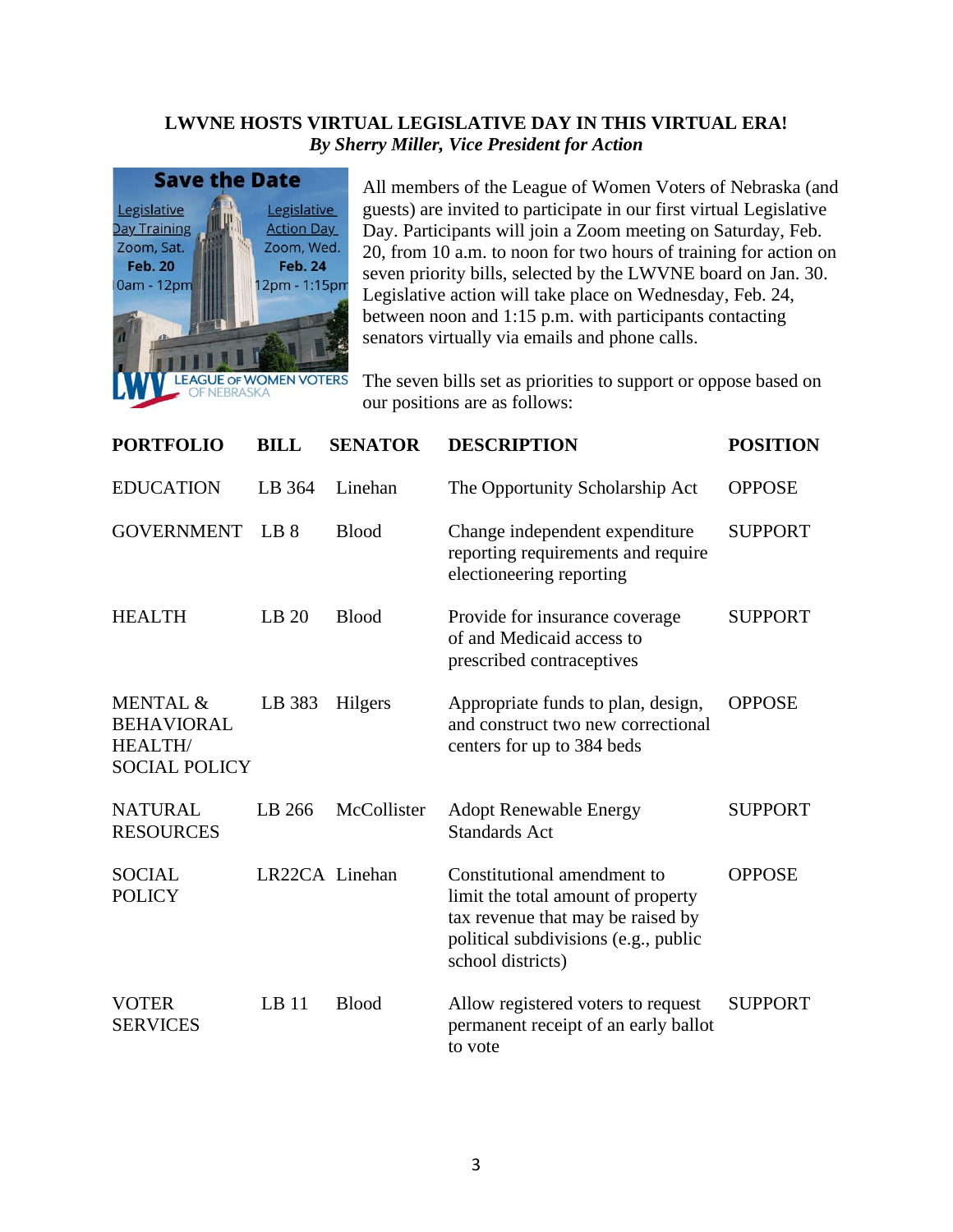## **LWVNE HOSTS VIRTUAL LEGISLATIVE DAY IN THIS VIRTUAL ERA!** *By Sherry Miller, Vice President for Action*



All members of the League of Women Voters of Nebraska (and guests) are invited to participate in our first virtual Legislative Day. Participants will join a Zoom meeting on Saturday, Feb. 20, from 10 a.m. to noon for two hours of training for action on seven priority bills, selected by the LWVNE board on Jan. 30. Legislative action will take place on Wednesday, Feb. 24, between noon and 1:15 p.m. with participants contacting senators virtually via emails and phone calls.

The seven bills set as priorities to support or oppose based on our positions are as follows:

| <b>PORTFOLIO</b>                                                        | <b>BILL</b>      | <b>SENATOR</b> | <b>DESCRIPTION</b>                                                                                                                                                  | <b>POSITION</b> |
|-------------------------------------------------------------------------|------------------|----------------|---------------------------------------------------------------------------------------------------------------------------------------------------------------------|-----------------|
| <b>EDUCATION</b>                                                        | LB 364           | Linehan        | The Opportunity Scholarship Act                                                                                                                                     | <b>OPPOSE</b>   |
| <b>GOVERNMENT</b>                                                       | LB 8             | <b>Blood</b>   | Change independent expenditure<br>reporting requirements and require<br>electioneering reporting                                                                    | <b>SUPPORT</b>  |
| <b>HEALTH</b>                                                           | LB 20            | <b>Blood</b>   | Provide for insurance coverage<br>of and Medicaid access to<br>prescribed contraceptives                                                                            | <b>SUPPORT</b>  |
| MENTAL &<br><b>BEHAVIORAL</b><br><b>HEALTH/</b><br><b>SOCIAL POLICY</b> | LB 383           | Hilgers        | Appropriate funds to plan, design,<br>and construct two new correctional<br>centers for up to 384 beds                                                              | <b>OPPOSE</b>   |
| <b>NATURAL</b><br><b>RESOURCES</b>                                      | LB 266           | McCollister    | <b>Adopt Renewable Energy</b><br><b>Standards Act</b>                                                                                                               | <b>SUPPORT</b>  |
| <b>SOCIAL</b><br><b>POLICY</b>                                          |                  | LR22CA Linehan | Constitutional amendment to<br>limit the total amount of property<br>tax revenue that may be raised by<br>political subdivisions (e.g., public<br>school districts) | <b>OPPOSE</b>   |
| <b>VOTER</b><br><b>SERVICES</b>                                         | LB <sub>11</sub> | <b>Blood</b>   | Allow registered voters to request<br>permanent receipt of an early ballot<br>to vote                                                                               | <b>SUPPORT</b>  |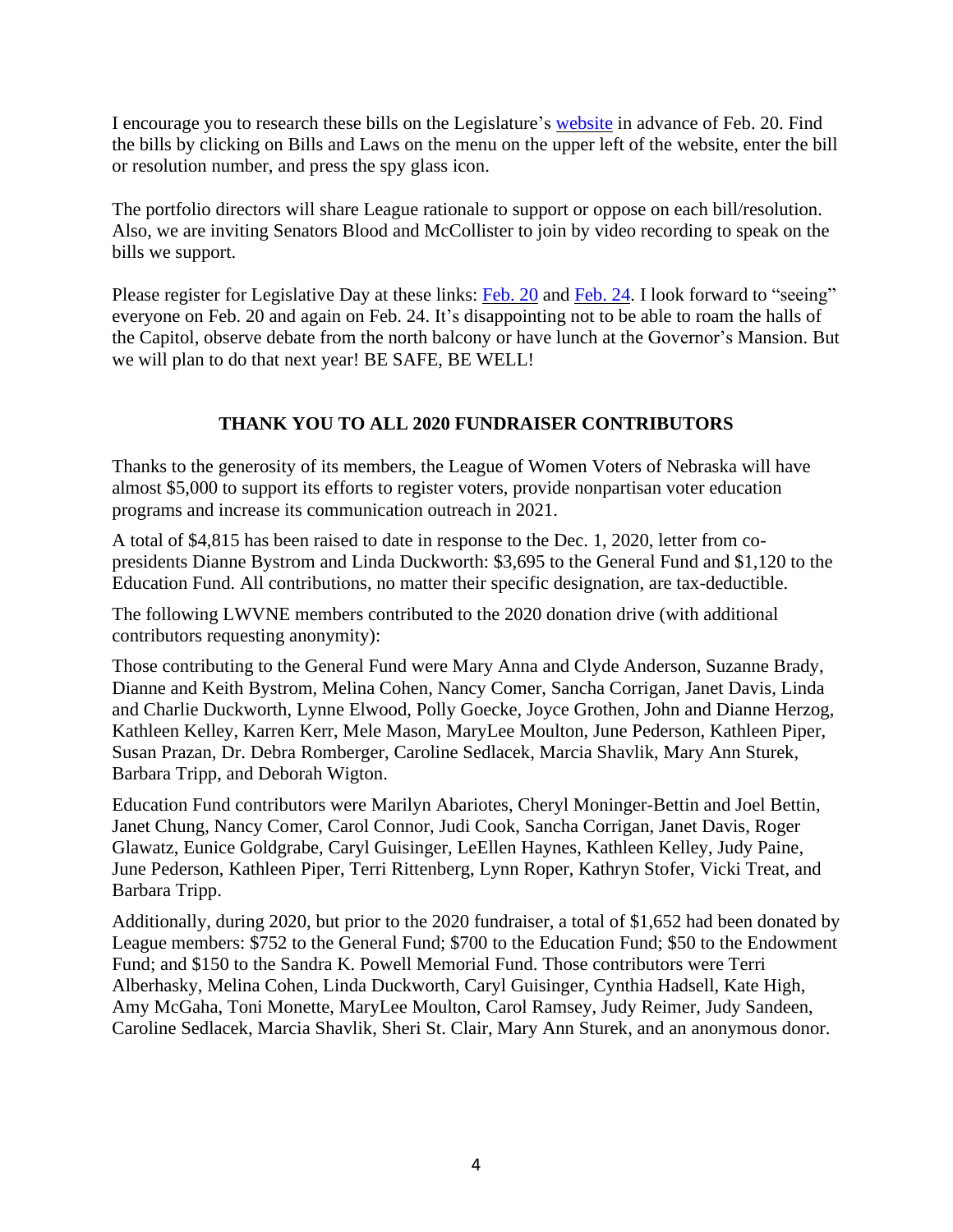I encourage you to research these bills on the Legislature's [website](https://nebraskalegislature.gov/) in advance of Feb. 20. Find the bills by clicking on Bills and Laws on the menu on the upper left of the website, enter the bill or resolution number, and press the spy glass icon.

The portfolio directors will share League rationale to support or oppose on each bill/resolution. Also, we are inviting Senators Blood and McCollister to join by video recording to speak on the bills we support.

Please register for Legislative Day at these links: [Feb.](https://us02web.zoom.us/meeting/register/tZYtd-ipqzssHNOMuZsP67QjqKHHEfeVd-6l) 20 and Feb. 24. I look forward to "seeing" everyone on Feb. 20 and again on Feb. 24. It's disappointing not to be able to roam the halls of the Capitol, observe debate from the north balcony or have lunch at the Governor's Mansion. But we will plan to do that next year! BE SAFE, BE WELL!

## **THANK YOU TO ALL 2020 FUNDRAISER CONTRIBUTORS**

Thanks to the generosity of its members, the League of Women Voters of Nebraska will have almost \$5,000 to support its efforts to register voters, provide nonpartisan voter education programs and increase its communication outreach in 2021.

A total of \$4,815 has been raised to date in response to the Dec. 1, 2020, letter from copresidents Dianne Bystrom and Linda Duckworth: \$3,695 to the General Fund and \$1,120 to the Education Fund. All contributions, no matter their specific designation, are tax-deductible.

The following LWVNE members contributed to the 2020 donation drive (with additional contributors requesting anonymity):

Those contributing to the General Fund were Mary Anna and Clyde Anderson, Suzanne Brady, Dianne and Keith Bystrom, Melina Cohen, Nancy Comer, Sancha Corrigan, Janet Davis, Linda and Charlie Duckworth, Lynne Elwood, Polly Goecke, Joyce Grothen, John and Dianne Herzog, Kathleen Kelley, Karren Kerr, Mele Mason, MaryLee Moulton, June Pederson, Kathleen Piper, Susan Prazan, Dr. Debra Romberger, Caroline Sedlacek, Marcia Shavlik, Mary Ann Sturek, Barbara Tripp, and Deborah Wigton.

Education Fund contributors were Marilyn Abariotes, Cheryl Moninger-Bettin and Joel Bettin, Janet Chung, Nancy Comer, Carol Connor, Judi Cook, Sancha Corrigan, Janet Davis, Roger Glawatz, Eunice Goldgrabe, Caryl Guisinger, LeEllen Haynes, Kathleen Kelley, Judy Paine, June Pederson, Kathleen Piper, Terri Rittenberg, Lynn Roper, Kathryn Stofer, Vicki Treat, and Barbara Tripp.

Additionally, during 2020, but prior to the 2020 fundraiser, a total of \$1,652 had been donated by League members: \$752 to the General Fund; \$700 to the Education Fund; \$50 to the Endowment Fund; and \$150 to the Sandra K. Powell Memorial Fund. Those contributors were Terri Alberhasky, Melina Cohen, Linda Duckworth, Caryl Guisinger, Cynthia Hadsell, Kate High, Amy McGaha, Toni Monette, MaryLee Moulton, Carol Ramsey, Judy Reimer, Judy Sandeen, Caroline Sedlacek, Marcia Shavlik, Sheri St. Clair, Mary Ann Sturek, and an anonymous donor.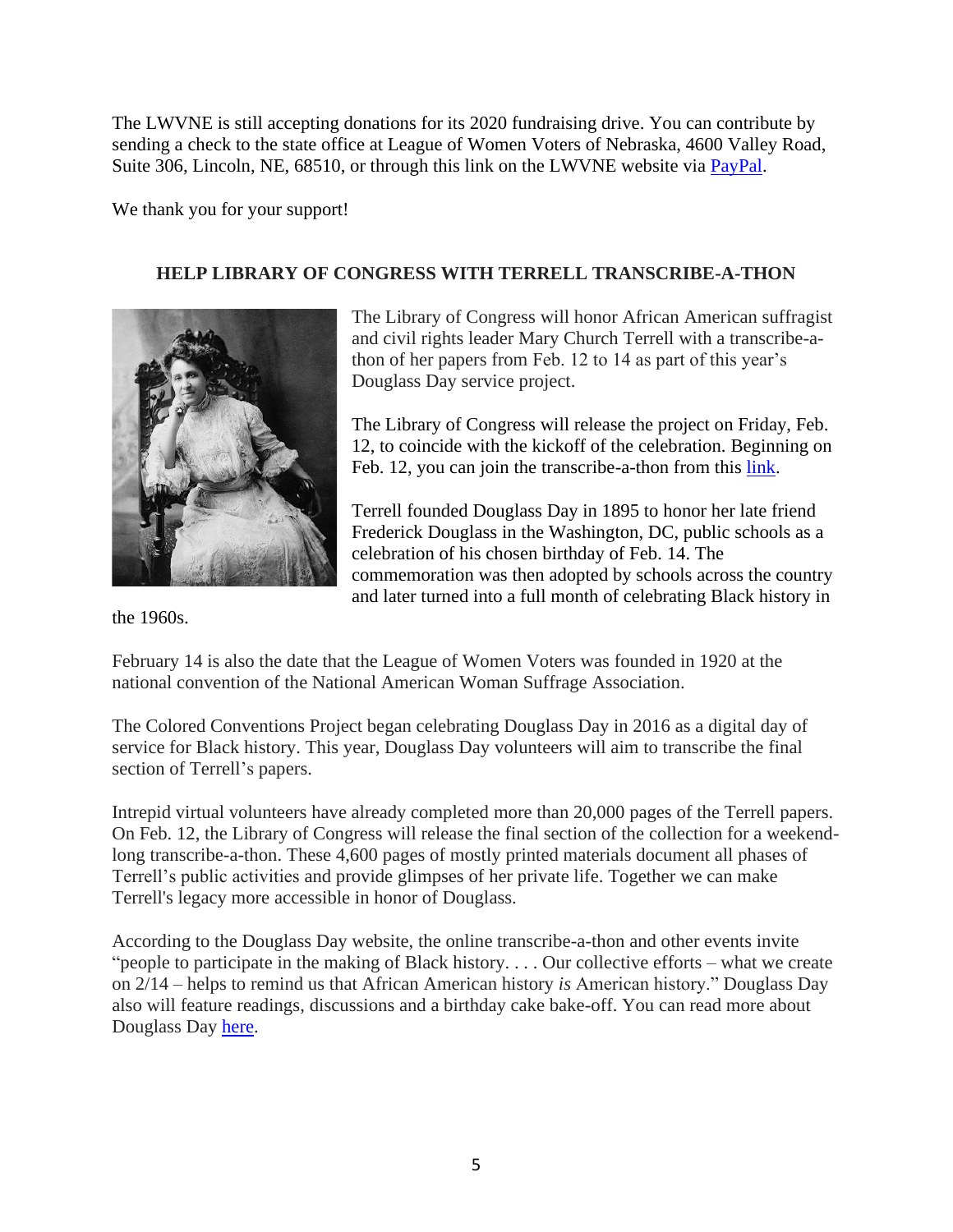The LWVNE is still accepting donations for its 2020 fundraising drive. You can contribute by sending a check to the state office at League of Women Voters of Nebraska, 4600 Valley Road, Suite 306, Lincoln, NE, 68510, or through this link on the LWVNE website via [PayPal.](https://lwvnebraska.org/donate/)

We thank you for your support!

## **HELP LIBRARY OF CONGRESS WITH TERRELL TRANSCRIBE-A-THON**



The Library of Congress will honor African American suffragist and civil rights leader Mary Church Terrell with a transcribe-athon of her papers from Feb. 12 to 14 as part of this year's Douglass Day service project.

The Library of Congress will release the project on Friday, Feb. 12, to coincide with the kickoff of the celebration. Beginning on Feb. 12, you can join the transcribe-a-thon from this [link.](https://crowd.loc.gov/campaigns/mary-church-terrell-advocate-for-african-americans-and-women/)

Terrell founded Douglass Day in 1895 to honor her late friend Frederick Douglass in the Washington, DC, public schools as a celebration of his chosen birthday of Feb. 14. The commemoration was then adopted by schools across the country and later turned into a full month of celebrating Black history in

the 1960s.

February 14 is also the date that the League of Women Voters was founded in 1920 at the national convention of the National American Woman Suffrage Association.

The Colored Conventions Project began celebrating Douglass Day in 2016 as a digital day of service for Black history. This year, Douglass Day volunteers will aim to transcribe the final section of Terrell's papers.

Intrepid virtual volunteers have already completed more than 20,000 pages of the Terrell papers. On Feb. 12, the Library of Congress will release the final section of the collection for a weekendlong transcribe-a-thon. These 4,600 pages of mostly printed materials document all phases of Terrell's public activities and provide glimpses of her private life. Together we can make Terrell's legacy more accessible in honor of Douglass.

According to the Douglass Day website, the online transcribe-a-thon and other events invite "people to participate in the making of Black history. . . . Our collective efforts – what we create on 2/14 – helps to remind us that African American history *is* American history." Douglass Day also will feature readings, discussions and a birthday cake bake-off. You can read more about Douglass Day [here.](https://douglassday.org/)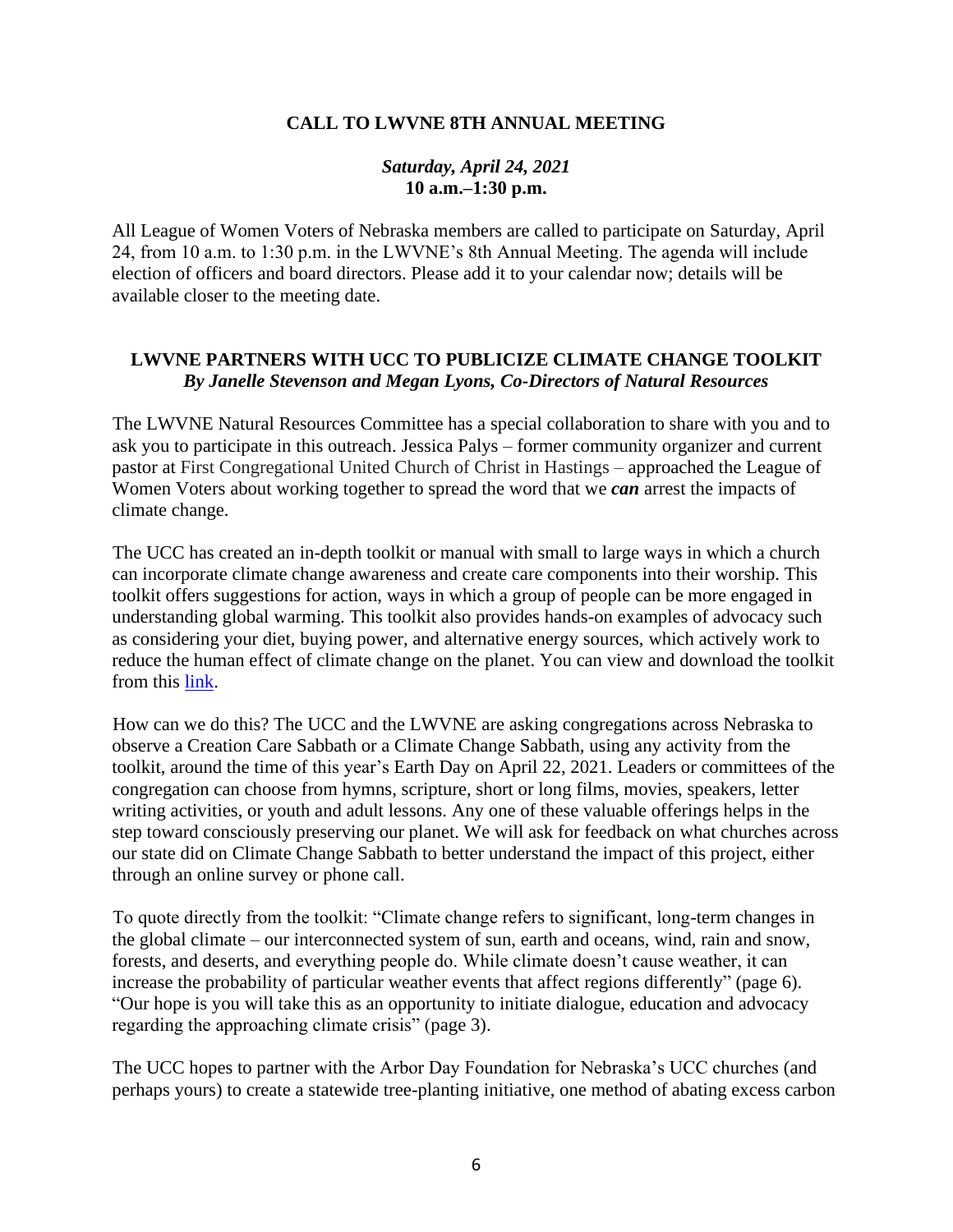#### **CALL TO LWVNE 8TH ANNUAL MEETING**

#### *Saturday, April 24, 2021* **10 a.m.–1:30 p.m.**

All League of Women Voters of Nebraska members are called to participate on Saturday, April 24, from 10 a.m. to 1:30 p.m. in the LWVNE's 8th Annual Meeting. The agenda will include election of officers and board directors. Please add it to your calendar now; details will be available closer to the meeting date.

## **LWVNE PARTNERS WITH UCC TO PUBLICIZE CLIMATE CHANGE TOOLKIT** *By Janelle Stevenson and Megan Lyons, Co-Directors of Natural Resources*

The LWVNE Natural Resources Committee has a special collaboration to share with you and to ask you to participate in this outreach. Jessica Palys – former community organizer and current pastor at First Congregational United Church of Christ in Hastings – approached the League of Women Voters about working together to spread the word that we *can* arrest the impacts of climate change.

The UCC has created an in-depth toolkit or manual with small to large ways in which a church can incorporate climate change awareness and create care components into their worship. This toolkit offers suggestions for action, ways in which a group of people can be more engaged in understanding global warming. This toolkit also provides hands-on examples of advocacy such as considering your diet, buying power, and alternative energy sources, which actively work to reduce the human effect of climate change on the planet. You can view and download the toolkit from this [link.](https://ucctcm.org/climatetoolkit/)

How can we do this? The UCC and the LWVNE are asking congregations across Nebraska to observe a Creation Care Sabbath or a Climate Change Sabbath, using any activity from the toolkit, around the time of this year's Earth Day on April 22, 2021. Leaders or committees of the congregation can choose from hymns, scripture, short or long films, movies, speakers, letter writing activities, or youth and adult lessons. Any one of these valuable offerings helps in the step toward consciously preserving our planet. We will ask for feedback on what churches across our state did on Climate Change Sabbath to better understand the impact of this project, either through an online survey or phone call.

To quote directly from the toolkit: "Climate change refers to significant, long-term changes in the global climate – our interconnected system of sun, earth and oceans, wind, rain and snow, forests, and deserts, and everything people do. While climate doesn't cause weather, it can increase the probability of particular weather events that affect regions differently" (page 6). "Our hope is you will take this as an opportunity to initiate dialogue, education and advocacy regarding the approaching climate crisis" (page 3).

The UCC hopes to partner with the Arbor Day Foundation for Nebraska's UCC churches (and perhaps yours) to create a statewide tree-planting initiative, one method of abating excess carbon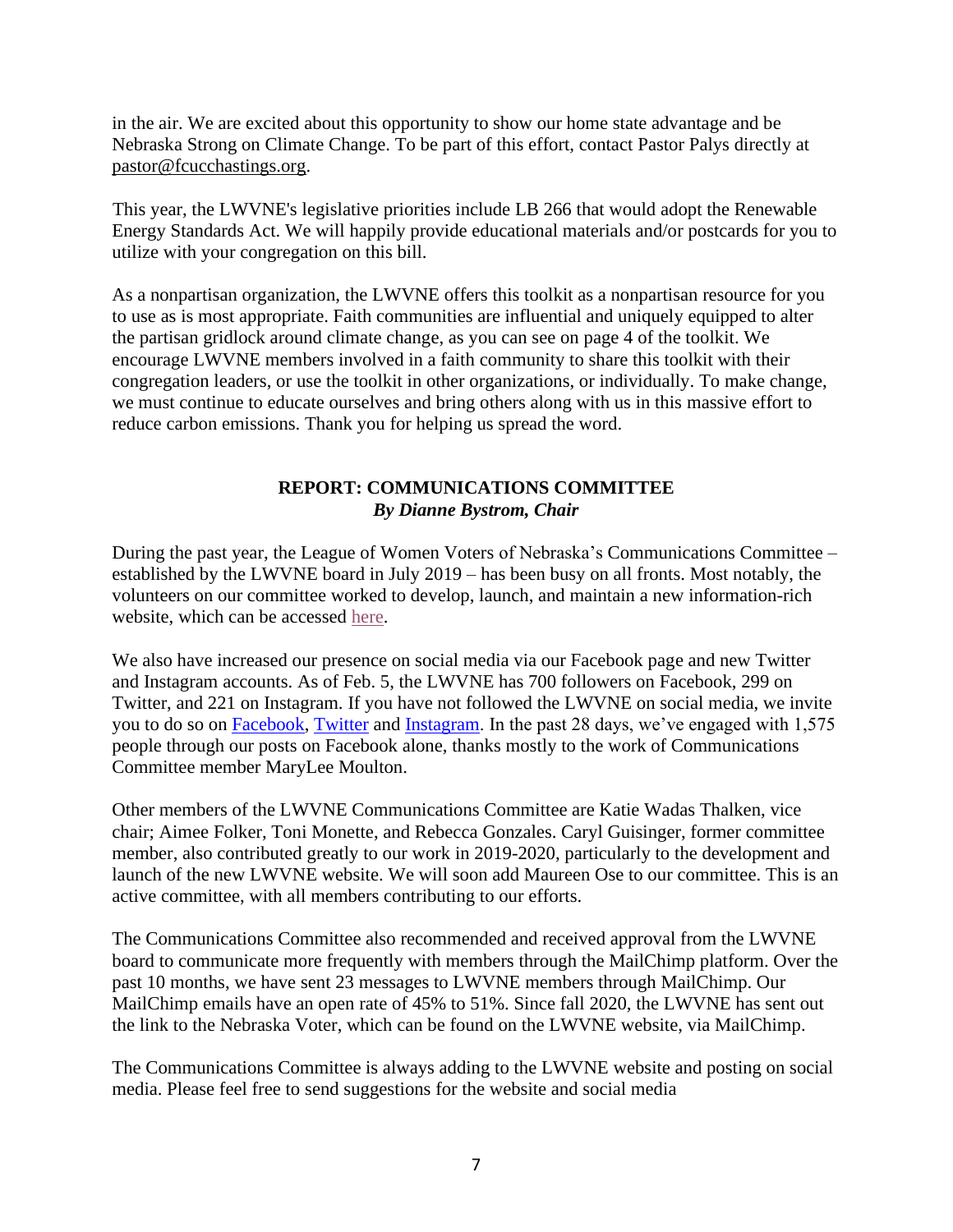in the air. We are excited about this opportunity to show our home state advantage and be Nebraska Strong on Climate Change. To be part of this effort, contact Pastor Palys directly at pastor@fcucchastings.org.

This year, the LWVNE's legislative priorities include LB 266 that would adopt the Renewable Energy Standards Act. We will happily provide educational materials and/or postcards for you to utilize with your congregation on this bill.

As a nonpartisan organization, the LWVNE offers this toolkit as a nonpartisan resource for you to use as is most appropriate. Faith communities are influential and uniquely equipped to alter the partisan gridlock around climate change, as you can see on page 4 of the toolkit. We encourage LWVNE members involved in a faith community to share this toolkit with their congregation leaders, or use the toolkit in other organizations, or individually. To make change, we must continue to educate ourselves and bring others along with us in this massive effort to reduce carbon emissions. Thank you for helping us spread the word.

## **REPORT: COMMUNICATIONS COMMITTEE** *By Dianne Bystrom, Chair*

During the past year, the League of Women Voters of Nebraska's Communications Committee – established by the LWVNE board in July 2019 – has been busy on all fronts. Most notably, the volunteers on our committee worked to develop, launch, and maintain a new information-rich website, which can be accessed [here.](https://lwvnebraska.org/)

We also have increased our presence on social media via our Facebook page and new Twitter and Instagram accounts. As of Feb. 5, the LWVNE has 700 followers on Facebook, 299 on Twitter, and 221 on Instagram. If you have not followed the LWVNE on social media, we invite you to do so on [Facebook,](https://www.facebook.com/LWVNE) [Twitter](https://twitter.com/lwvne) and [Instagram.](https://www.instagram.com/lwvne/) In the past 28 days, we've engaged with 1,575 people through our posts on Facebook alone, thanks mostly to the work of Communications Committee member MaryLee Moulton.

Other members of the LWVNE Communications Committee are Katie Wadas Thalken, vice chair; Aimee Folker, Toni Monette, and Rebecca Gonzales. Caryl Guisinger, former committee member, also contributed greatly to our work in 2019-2020, particularly to the development and launch of the new LWVNE website. We will soon add Maureen Ose to our committee. This is an active committee, with all members contributing to our efforts.

The Communications Committee also recommended and received approval from the LWVNE board to communicate more frequently with members through the MailChimp platform. Over the past 10 months, we have sent 23 messages to LWVNE members through MailChimp. Our MailChimp emails have an open rate of 45% to 51%. Since fall 2020, the LWVNE has sent out the link to the Nebraska Voter, which can be found on the LWVNE website, via MailChimp.

The Communications Committee is always adding to the LWVNE website and posting on social media. Please feel free to send suggestions for the website and social media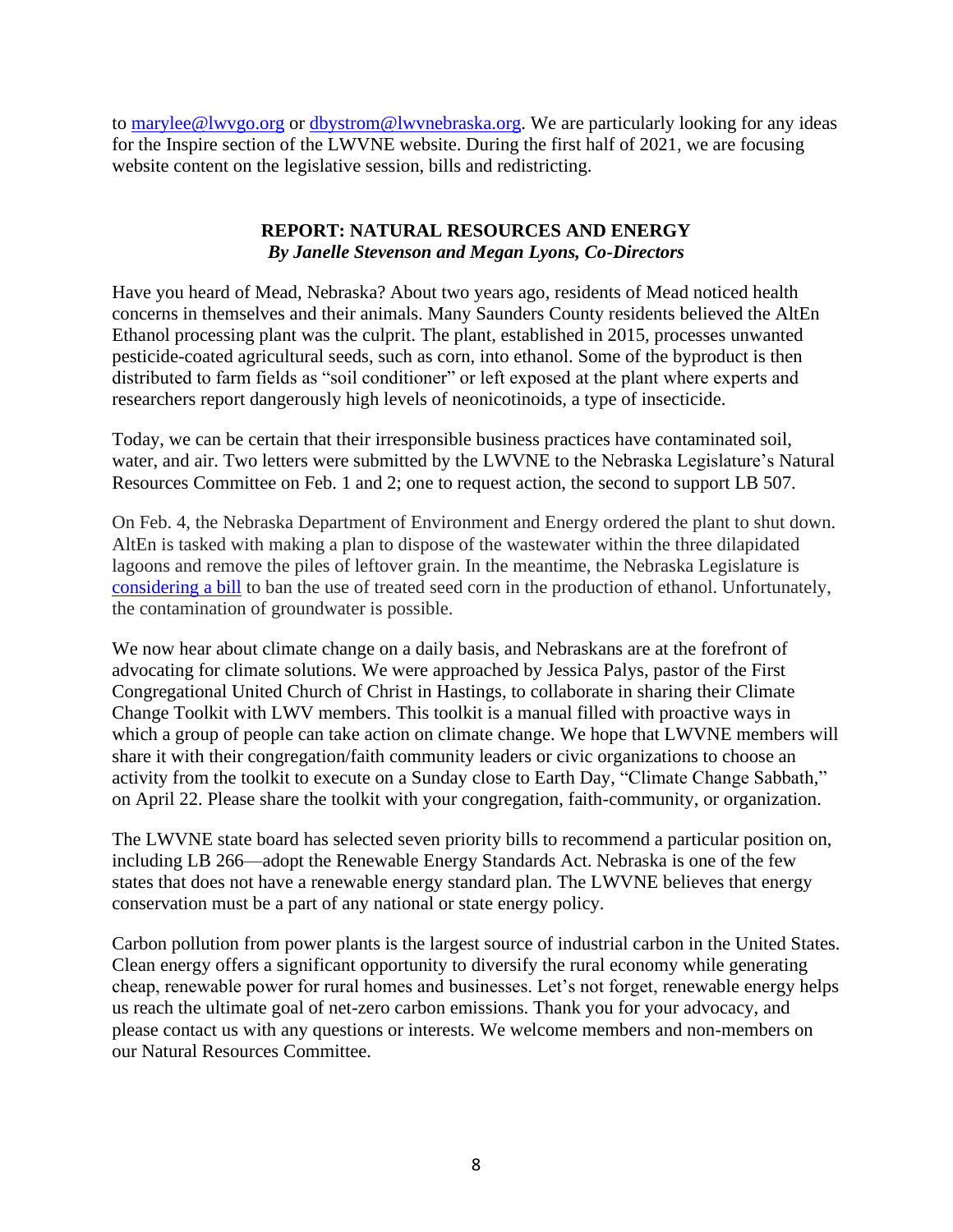to [marylee@lwvgo.org](mailto:marylee@lwvgo.org) or [dbystrom@lwvnebraska.org.](mailto:dbystrom@lwvnebraska.org) We are particularly looking for any ideas for the Inspire section of the LWVNE website. During the first half of 2021, we are focusing website content on the legislative session, bills and redistricting.

## **REPORT: NATURAL RESOURCES AND ENERGY** *By Janelle Stevenson and Megan Lyons, Co-Directors*

Have you heard of Mead, Nebraska? About two years ago, residents of Mead noticed health concerns in themselves and their animals. Many Saunders County residents believed the AltEn Ethanol processing plant was the culprit. The plant, established in 2015, processes unwanted pesticide-coated agricultural seeds, such as corn, into ethanol. Some of the byproduct is then distributed to farm fields as "soil conditioner" or left exposed at the plant where experts and researchers report dangerously high levels of neonicotinoids, a type of insecticide.

Today, we can be certain that their irresponsible business practices have contaminated soil, water, and air. Two letters were submitted by the LWVNE to the Nebraska Legislature's Natural Resources Committee on Feb. 1 and 2; one to request action, the second to support LB 507.

On Feb. 4, the Nebraska Department of Environment and Energy ordered the plant to shut down. AltEn is tasked with making a plan to dispose of the wastewater within the three dilapidated lagoons and remove the piles of leftover grain. In the meantime, the Nebraska Legislature is [considering a bill](https://omaha.com/news/state-and-regional/govt-and-politics/bill-would-force-ethanol-plant-near-mead-to-stop-using-pesticide-treated-seed-corn/article_8875c19a-6648-11eb-a4be-f37a0e7ce230.html) to ban the use of treated seed corn in the production of ethanol. Unfortunately, the contamination of groundwater is possible.

We now hear about climate change on a daily basis, and Nebraskans are at the forefront of advocating for climate solutions. We were approached by Jessica Palys, pastor of the First Congregational United Church of Christ in Hastings, to collaborate in sharing their Climate Change Toolkit with LWV members. This toolkit is a manual filled with proactive ways in which a group of people can take action on climate change. We hope that LWVNE members will share it with their congregation/faith community leaders or civic organizations to choose an activity from the toolkit to execute on a Sunday close to Earth Day, "Climate Change Sabbath," on April 22. Please share the toolkit with your congregation, faith-community, or organization.

The LWVNE state board has selected seven priority bills to recommend a particular position on, including LB 266—adopt the Renewable Energy Standards Act. Nebraska is one of the few states that does not have a renewable energy standard plan. The LWVNE believes that energy conservation must be a part of any national or state energy policy.

Carbon pollution from power plants is the largest source of industrial carbon in the United States. Clean energy offers a significant opportunity to diversify the rural economy while generating cheap, renewable power for rural homes and businesses. Let's not forget, renewable energy helps us reach the ultimate goal of net-zero carbon emissions. Thank you for your advocacy, and please contact us with any questions or interests. We welcome members and non-members on our Natural Resources Committee.